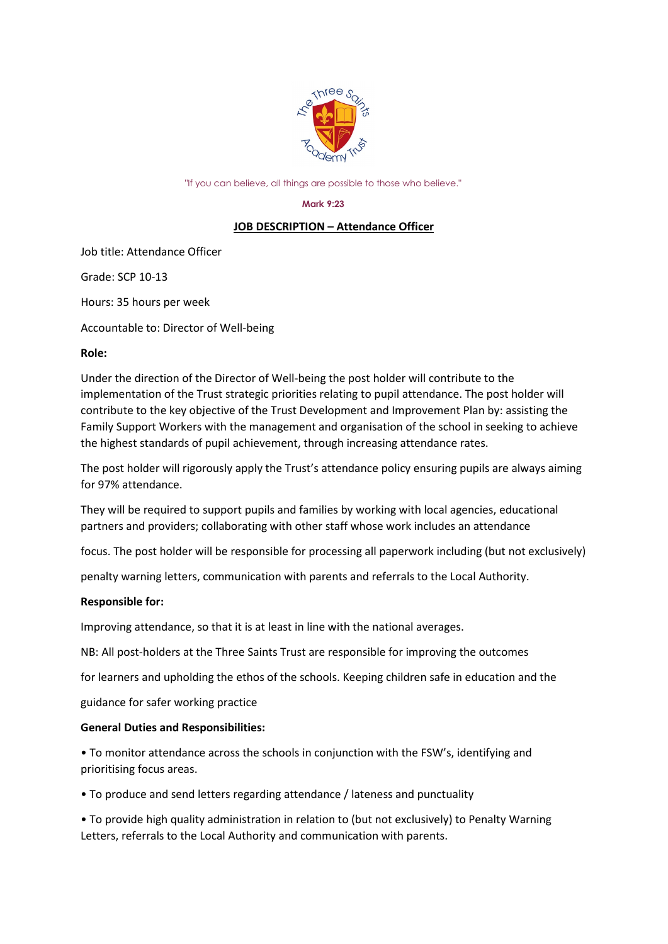

"If you can believe, all things are possible to those who believe."

#### **Mark 9:23**

# **JOB DESCRIPTION – Attendance Officer**

Job title: Attendance Officer

Grade: SCP 10-13

Hours: 35 hours per week

Accountable to: Director of Well-being

#### **Role:**

Under the direction of the Director of Well-being the post holder will contribute to the implementation of the Trust strategic priorities relating to pupil attendance. The post holder will contribute to the key objective of the Trust Development and Improvement Plan by: assisting the Family Support Workers with the management and organisation of the school in seeking to achieve the highest standards of pupil achievement, through increasing attendance rates.

The post holder will rigorously apply the Trust's attendance policy ensuring pupils are always aiming for 97% attendance.

They will be required to support pupils and families by working with local agencies, educational partners and providers; collaborating with other staff whose work includes an attendance

focus. The post holder will be responsible for processing all paperwork including (but not exclusively)

penalty warning letters, communication with parents and referrals to the Local Authority.

# **Responsible for:**

Improving attendance, so that it is at least in line with the national averages.

NB: All post-holders at the Three Saints Trust are responsible for improving the outcomes

for learners and upholding the ethos of the schools. Keeping children safe in education and the

guidance for safer working practice

# **General Duties and Responsibilities:**

• To monitor attendance across the schools in conjunction with the FSW's, identifying and prioritising focus areas.

• To produce and send letters regarding attendance / lateness and punctuality

• To provide high quality administration in relation to (but not exclusively) to Penalty Warning Letters, referrals to the Local Authority and communication with parents.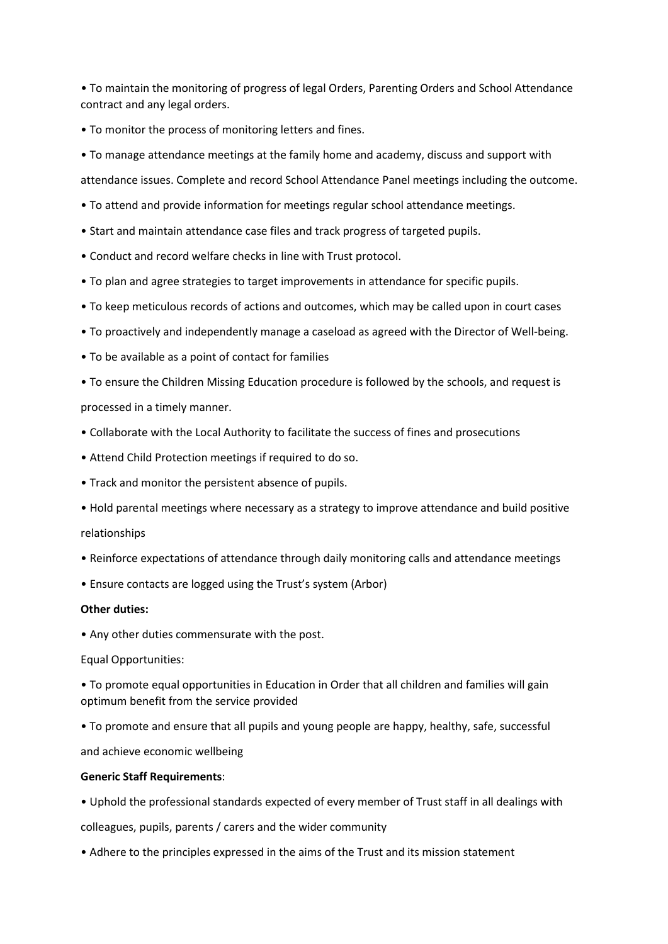• To maintain the monitoring of progress of legal Orders, Parenting Orders and School Attendance contract and any legal orders.

- To monitor the process of monitoring letters and fines.
- To manage attendance meetings at the family home and academy, discuss and support with

attendance issues. Complete and record School Attendance Panel meetings including the outcome.

- To attend and provide information for meetings regular school attendance meetings.
- Start and maintain attendance case files and track progress of targeted pupils.
- Conduct and record welfare checks in line with Trust protocol.
- To plan and agree strategies to target improvements in attendance for specific pupils.
- To keep meticulous records of actions and outcomes, which may be called upon in court cases
- To proactively and independently manage a caseload as agreed with the Director of Well-being.
- To be available as a point of contact for families

• To ensure the Children Missing Education procedure is followed by the schools, and request is processed in a timely manner.

- Collaborate with the Local Authority to facilitate the success of fines and prosecutions
- Attend Child Protection meetings if required to do so.
- Track and monitor the persistent absence of pupils.
- Hold parental meetings where necessary as a strategy to improve attendance and build positive

# relationships

- Reinforce expectations of attendance through daily monitoring calls and attendance meetings
- Ensure contacts are logged using the Trust's system (Arbor)

# **Other duties:**

• Any other duties commensurate with the post.

Equal Opportunities:

• To promote equal opportunities in Education in Order that all children and families will gain optimum benefit from the service provided

• To promote and ensure that all pupils and young people are happy, healthy, safe, successful

and achieve economic wellbeing

# **Generic Staff Requirements**:

• Uphold the professional standards expected of every member of Trust staff in all dealings with

colleagues, pupils, parents / carers and the wider community

• Adhere to the principles expressed in the aims of the Trust and its mission statement